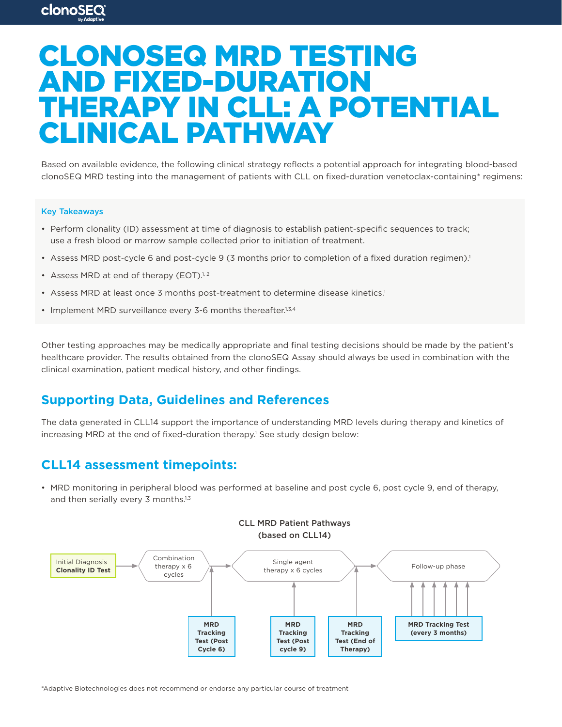# CLONOSEQ MRD TESTING AND FIXED-DURATION THERAPY IN CLL: A POTENTIAL CLINICAL PATHWAY

Based on available evidence, the following clinical strategy reflects a potential approach for integrating blood-based clonoSEQ MRD testing into the management of patients with CLL on fixed-duration venetoclax-containing\* regimens:

#### Key Takeaways

**clonoSEQ** 

- Perform clonality (ID) assessment at time of diagnosis to establish patient-specific sequences to track; use a fresh blood or marrow sample collected prior to initiation of treatment.
- Assess MRD post-cycle 6 and post-cycle 9 (3 months prior to completion of a fixed duration regimen).<sup>1</sup>
- Assess MRD at end of therapy (EOT).<sup>1, 2</sup>
- Assess MRD at least once 3 months post-treatment to determine disease kinetics.<sup>1</sup>
- Implement MRD surveillance every 3-6 months thereafter.<sup>1,3,4</sup>

Other testing approaches may be medically appropriate and final testing decisions should be made by the patient's healthcare provider. The results obtained from the clonoSEQ Assay should always be used in combination with the clinical examination, patient medical history, and other findings.

# **Supporting Data, Guidelines and References**

The data generated in CLL14 support the importance of understanding MRD levels during therapy and kinetics of increasing MRD at the end of fixed-duration therapy.<sup>1</sup> See study design below:

## **CLL14 assessment timepoints:**

• MRD monitoring in peripheral blood was performed at baseline and post cycle 6, post cycle 9, end of therapy, and then serially every 3 months.<sup>1,3</sup>



\*Adaptive Biotechnologies does not recommend or endorse any particular course of treatment